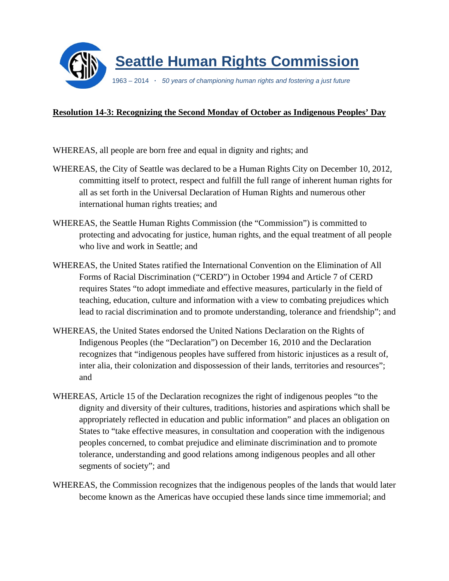

## **Resolution 14-3: Recognizing the Second Monday of October as Indigenous Peoples' Day**

- WHEREAS, all people are born free and equal in dignity and rights; and
- WHEREAS, the City of Seattle was declared to be a Human Rights City on December 10, 2012, committing itself to protect, respect and fulfill the full range of inherent human rights for all as set forth in the Universal Declaration of Human Rights and numerous other international human rights treaties; and
- WHEREAS, the Seattle Human Rights Commission (the "Commission") is committed to protecting and advocating for justice, human rights, and the equal treatment of all people who live and work in Seattle; and
- WHEREAS, the United States ratified the International Convention on the Elimination of All Forms of Racial Discrimination ("CERD") in October 1994 and Article 7 of CERD requires States "to adopt immediate and effective measures, particularly in the field of teaching, education, culture and information with a view to combating prejudices which lead to racial discrimination and to promote understanding, tolerance and friendship"; and
- WHEREAS, the United States endorsed the United Nations Declaration on the Rights of Indigenous Peoples (the "Declaration") on December 16, 2010 and the Declaration recognizes that "indigenous peoples have suffered from historic injustices as a result of, inter alia, their colonization and dispossession of their lands, territories and resources"; and
- WHEREAS, Article 15 of the Declaration recognizes the right of indigenous peoples "to the dignity and diversity of their cultures, traditions, histories and aspirations which shall be appropriately reflected in education and public information" and places an obligation on States to "take effective measures, in consultation and cooperation with the indigenous peoples concerned, to combat prejudice and eliminate discrimination and to promote tolerance, understanding and good relations among indigenous peoples and all other segments of society"; and
- WHEREAS, the Commission recognizes that the indigenous peoples of the lands that would later become known as the Americas have occupied these lands since time immemorial; and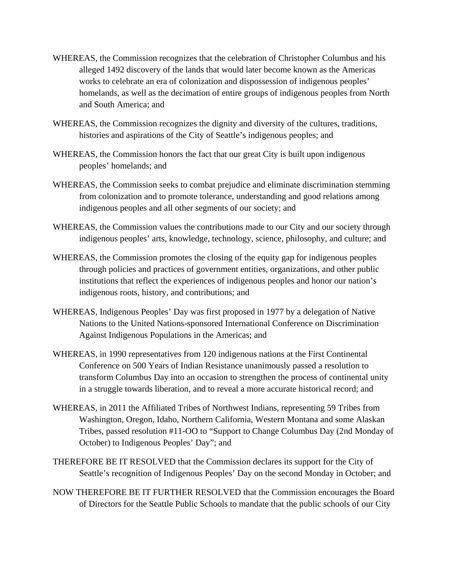- WHEREAS, the Commission recognizes that the celebration of Christopher Columbus and his alleged 1492 discovery of the lands that would later become known as the Americas works to celebrate an era of colonization and dispossession of indigenous peoples' homelands, as well as the decimation of entire groups of indigenous peoples from North and South America; and
- WHEREAS, the Commission recognizes the dignity and diversity of the cultures, traditions, histories and aspirations of the City of Seattle's indigenous peoples; and
- WHEREAS, the Commission honors the fact that our great City is built upon indigenous peoples' homelands; and
- WHEREAS, the Commission seeks to combat prejudice and eliminate discrimination stemming from colonization and to promote tolerance, understanding and good relations among indigenous peoples and all other segments of our society; and
- WHEREAS, the Commission values the contributions made to our City and our society through indigenous peoples' arts, knowledge, technology, science, philosophy, and culture; and
- WHEREAS, the Commission promotes the closing of the equity gap for indigenous peoples through policies and practices of government entities, organizations, and other public institutions that reflect the experiences of indigenous peoples and honor our nation's indigenous roots, history, and contributions; and
- WHEREAS, Indigenous Peoples' Day was first proposed in 1977 by a delegation of Native Nations to the United Nations-sponsored International Conference on Discrimination Against Indigenous Populations in the Americas; and
- WHEREAS, in 1990 representatives from 120 indigenous nations at the First Continental Conference on 500 Years of Indian Resistance unanimously passed a resolution to transform Columbus Day into an occasion to strengthen the process of continental unity in a struggle towards liberation, and to reveal a more accurate historical record; and
- WHEREAS, in 2011 the Affiliated Tribes of Northwest Indians, representing 59 Tribes from Washington, Oregon, Idaho, Northern California, Western Montana and some Alaskan Tribes, passed resolution #11-OO to "Support to Change Columbus Day (2nd Monday of October) to Indigenous Peoples' Day"; and
- THEREFORE BE IT RESOLVED that the Commission declares its support for the City of Seattle's recognition of Indigenous Peoples' Day on the second Monday in October; and
- NOW THEREFORE BE IT FURTHER RESOLVED that the Commission encourages the Board of Directors for the Seattle Public Schools to mandate that the public schools of our City